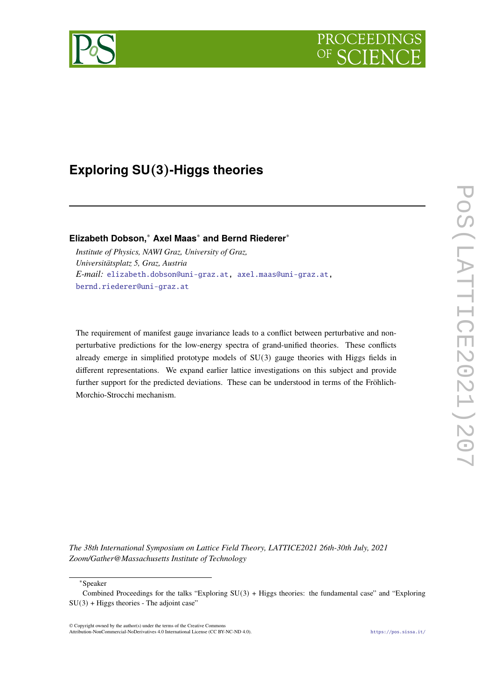

# **Exploring SU**(**3**)**-Higgs theories**

**Elizabeth Dobson,**<sup>∗</sup> **Axel Maas**<sup>∗</sup> **and Bernd Riederer**<sup>∗</sup>

*Institute of Physics, NAWI Graz, University of Graz, Universitätsplatz 5, Graz, Austria E-mail:* [elizabeth.dobson@uni-graz.at,](mailto:elizabeth.dobson@uni-graz.at) [axel.maas@uni-graz.at,](mailto:axel.maas@uni-graz.at) [bernd.riederer@uni-graz.at](mailto:bernd.riederer@uni-graz.at)

The requirement of manifest gauge invariance leads to a conflict between perturbative and nonperturbative predictions for the low-energy spectra of grand-unified theories. These conflicts already emerge in simplified prototype models of SU(3) gauge theories with Higgs fields in different representations. We expand earlier lattice investigations on this subject and provide further support for the predicted deviations. These can be understood in terms of the Fröhlich-Morchio-Strocchi mechanism.

*The 38th International Symposium on Lattice Field Theory, LATTICE2021 26th-30th July, 2021 Zoom/Gather@Massachusetts Institute of Technology*

<sup>∗</sup>Speaker

© Copyright owned by the author(s) under the terms of the Creative Commons Attribution-NonCommercial-NoDerivatives 4.0 International License (CC BY-NC-ND 4.0). <https://pos.sissa.it/>

Combined Proceedings for the talks "Exploring SU(3) + Higgs theories: the fundamental case" and "Exploring  $SU(3)$  + Higgs theories - The adjoint case"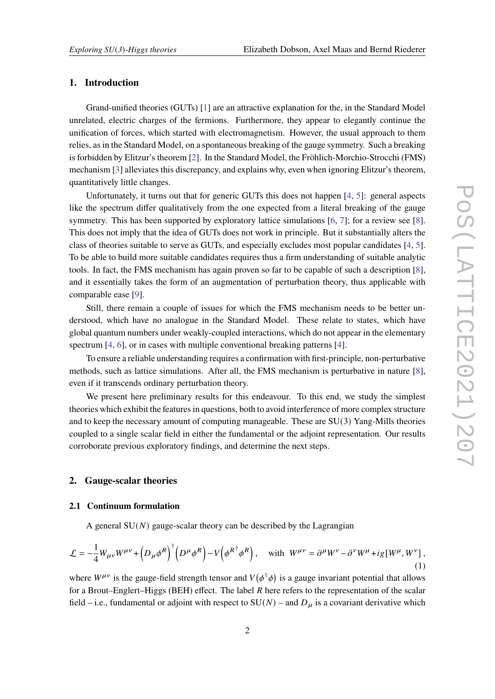# **1. Introduction**

Grand-unified theories (GUTs) [\[1\]](#page-12-0) are an attractive explanation for the, in the Standard Model unrelated, electric charges of the fermions. Furthermore, they appear to elegantly continue the unification of forces, which started with electromagnetism. However, the usual approach to them relies, as in the Standard Model, on a spontaneous breaking of the gauge symmetry. Such a breaking is forbidden by Elitzur's theorem [\[2\]](#page-13-0). In the Standard Model, the Fröhlich-Morchio-Strocchi (FMS) mechanism [\[3\]](#page-13-1) alleviates this discrepancy, and explains why, even when ignoring Elitzur's theorem, quantitatively little changes.

Unfortunately, it turns out that for generic GUTs this does not happen [\[4,](#page-13-2) [5\]](#page-13-3): general aspects like the spectrum differ qualitatively from the one expected from a literal breaking of the gauge symmetry. This has been supported by exploratory lattice simulations [\[6,](#page-13-4) [7\]](#page-13-5); for a review see [\[8\]](#page-13-6). This does not imply that the idea of GUTs does not work in principle. But it substantially alters the class of theories suitable to serve as GUTs, and especially excludes most popular candidates [\[4,](#page-13-2) [5\]](#page-13-3). To be able to build more suitable candidates requires thus a firm understanding of suitable analytic tools. In fact, the FMS mechanism has again proven so far to be capable of such a description [\[8\]](#page-13-6), and it essentially takes the form of an augmentation of perturbation theory, thus applicable with comparable ease [\[9\]](#page-13-7).

Still, there remain a couple of issues for which the FMS mechanism needs to be better understood, which have no analogue in the Standard Model. These relate to states, which have global quantum numbers under weakly-coupled interactions, which do not appear in the elementary spectrum [\[4,](#page-13-2) [6\]](#page-13-4), or in cases with multiple conventional breaking patterns [\[4\]](#page-13-2).

To ensure a reliable understanding requires a confirmation with first-principle, non-perturbative methods, such as lattice simulations. After all, the FMS mechanism is perturbative in nature [\[8\]](#page-13-6), even if it transcends ordinary perturbation theory.

We present here preliminary results for this endeavour. To this end, we study the simplest theories which exhibit the features in questions, both to avoid interference of more complex structure and to keep the necessary amount of computing manageable. These are  $SU(3)$  Yang-Mills theories coupled to a single scalar field in either the fundamental or the adjoint representation. Our results corroborate previous exploratory findings, and determine the next steps.

# **2. Gauge-scalar theories**

### **2.1 Continuum formulation**

A general  $SU(N)$  gauge-scalar theory can be described by the Lagrangian

<span id="page-1-0"></span>
$$
\mathcal{L} = -\frac{1}{4}W_{\mu\nu}W^{\mu\nu} + \left(D_{\mu}\phi^{R}\right)^{\dagger} \left(D^{\mu}\phi^{R}\right) - V\left(\phi^{R^{\dagger}}\phi^{R}\right), \quad \text{with} \quad W^{\mu\nu} = \partial^{\mu}W^{\nu} - \partial^{\nu}W^{\mu} + ig[W^{\mu}, W^{\nu}]\,,\tag{1}
$$

where  $W^{\mu\nu}$  is the gauge-field strength tensor and  $V(\phi^{\dagger}\phi)$  is a gauge invariant potential that allows for a Brout–Englert–Higgs (BEH) effect. The label  $R$  here refers to the representation of the scalar field – i.e., fundamental or adjoint with respect to  $SU(N)$  – and  $D_{\mu}$  is a covariant derivative which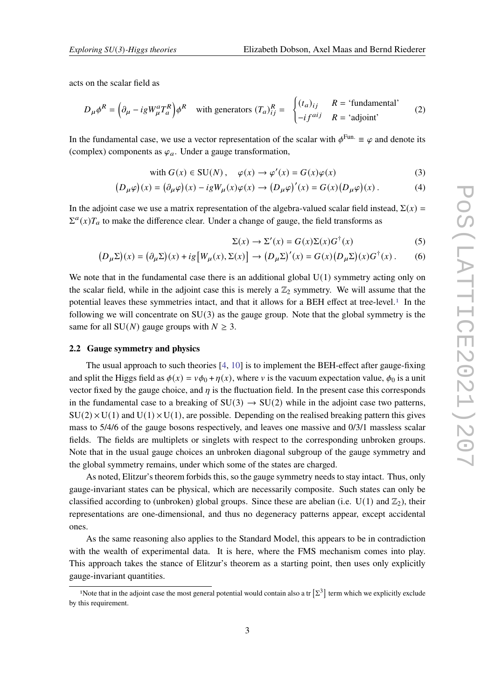acts on the scalar field as

$$
D_{\mu}\phi^{R} = \left(\partial_{\mu} - igW_{\mu}^{a}T_{a}^{R}\right)\phi^{R} \text{ with generators } (T_{a})_{ij}^{R} = \begin{cases} (t_{a})_{ij} & R = \text{ 'fundamental'}\\ -if^{aij} & R = \text{ 'adjoint' } \end{cases}
$$
 (2)

In the fundamental case, we use a vector representation of the scalar with  $\phi^{\text{Fun.}} \equiv \varphi$  and denote its (complex) components as  $\varphi_a$ . Under a gauge transformation,

with 
$$
G(x) \in SU(N)
$$
,  $\varphi(x) \to \varphi'(x) = G(x)\varphi(x)$  (3)

$$
(D_{\mu}\varphi)(x) = (\partial_{\mu}\varphi)(x) - igW_{\mu}(x)\varphi(x) \rightarrow (D_{\mu}\varphi)'(x) = G(x)(D_{\mu}\varphi)(x).
$$
 (4)

In the adjoint case we use a matrix representation of the algebra-valued scalar field instead,  $\Sigma(x)$  =  $\Sigma^a(x)T_a$  to make the difference clear. Under a change of gauge, the field transforms as

$$
\Sigma(x) \to \Sigma'(x) = G(x)\Sigma(x)G^{\dagger}(x) \tag{5}
$$

$$
(D_{\mu}\Sigma)(x) = (\partial_{\mu}\Sigma)(x) + ig[W_{\mu}(x), \Sigma(x)] \rightarrow (D_{\mu}\Sigma)'(x) = G(x)(D_{\mu}\Sigma)(x)G^{\dagger}(x).
$$
 (6)

We note that in the fundamental case there is an additional global  $U(1)$  symmetry acting only on the scalar field, while in the adjoint case this is merely a  $\mathbb{Z}_2$  symmetry. We will assume that the potential leaves these symmetries intact, and that it allows for a BEH effect at tree-level.[1](#page-2-0) In the following we will concentrate on  $SU(3)$  as the gauge group. Note that the global symmetry is the same for all SU( $N$ ) gauge groups with  $N \geq 3$ .

#### **2.2 Gauge symmetry and physics**

The usual approach to such theories [\[4,](#page-13-2) [10\]](#page-13-8) is to implement the BEH-effect after gauge-fixing and split the Higgs field as  $\phi(x) = v\phi_0 + \eta(x)$ , where v is the vacuum expectation value,  $\phi_0$  is a unit vector fixed by the gauge choice, and  $\eta$  is the fluctuation field. In the present case this corresponds in the fundamental case to a breaking of  $SU(3) \rightarrow SU(2)$  while in the adjoint case two patterns,  $SU(2) \times U(1)$  and  $U(1) \times U(1)$ , are possible. Depending on the realised breaking pattern this gives mass to 5/4/6 of the gauge bosons respectively, and leaves one massive and 0/3/1 massless scalar fields. The fields are multiplets or singlets with respect to the corresponding unbroken groups. Note that in the usual gauge choices an unbroken diagonal subgroup of the gauge symmetry and the global symmetry remains, under which some of the states are charged.

As noted, Elitzur's theorem forbids this, so the gauge symmetry needs to stay intact. Thus, only gauge-invariant states can be physical, which are necessarily composite. Such states can only be classified according to (unbroken) global groups. Since these are abelian (i.e.  $U(1)$  and  $\mathbb{Z}_2$ ), their representations are one-dimensional, and thus no degeneracy patterns appear, except accidental ones.

As the same reasoning also applies to the Standard Model, this appears to be in contradiction with the wealth of experimental data. It is here, where the FMS mechanism comes into play. This approach takes the stance of Elitzur's theorem as a starting point, then uses only explicitly gauge-invariant quantities.

<span id="page-2-0"></span><sup>&</sup>lt;sup>1</sup>Note that in the adjoint case the most general potential would contain also a tr  $[\Sigma^3]$  term which we explicitly exclude by this requirement.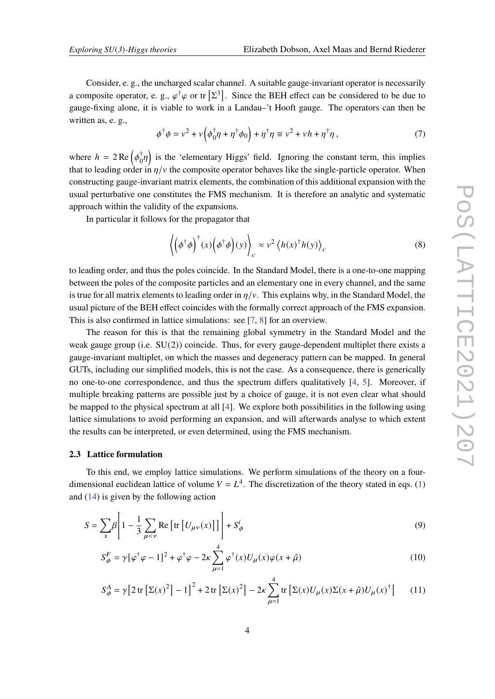Consider, e. g., the uncharged scalar channel. A suitable gauge-invariant operator is necessarily a composite operator, e. g.,  $\varphi^{\dagger} \varphi$  or tr  $[\Sigma^3]$ . Since the BEH effect can be considered to be due to gauge-fixing alone, it is viable to work in a Landau–'t Hooft gauge. The operators can then be written as, e. g.,

$$
\phi^{\dagger} \phi = v^2 + v \left( \phi_0^{\dagger} \eta + \eta^{\dagger} \phi_0 \right) + \eta^{\dagger} \eta \equiv v^2 + v h + \eta^{\dagger} \eta \,, \tag{7}
$$

where  $h = 2 \text{Re} \left( \phi_0^{\dagger} \right)$  $\phi^{\dagger}_{0} \eta$  is the 'elementary Higgs' field. Ignoring the constant term, this implies that to leading order in  $\eta/\nu$  the composite operator behaves like the single-particle operator. When constructing gauge-invariant matrix elements, the combination of this additional expansion with the usual perturbative one constitutes the FMS mechanism. It is therefore an analytic and systematic approach within the validity of the expansions.

In particular it follows for the propagator that

$$
\left\langle \left( \phi^{\dagger} \phi \right)^{\dagger} (x) \left( \phi^{\dagger} \phi \right) (y) \right\rangle_{c} \approx v^{2} \left\langle h(x)^{\dagger} h(y) \right\rangle_{c} \tag{8}
$$

to leading order, and thus the poles coincide. In the Standard Model, there is a one-to-one mapping between the poles of the composite particles and an elementary one in every channel, and the same is true for all matrix elements to leading order in  $\eta/\nu$ . This explains why, in the Standard Model, the usual picture of the BEH effect coincides with the formally correct approach of the FMS expansion. This is also confirmed in lattice simulations: see [\[7,](#page-13-5) [8\]](#page-13-6) for an overview.

The reason for this is that the remaining global symmetry in the Standard Model and the weak gauge group (i.e. SU(2)) coincide. Thus, for every gauge-dependent multiplet there exists a gauge-invariant multiplet, on which the masses and degeneracy pattern can be mapped. In general GUTs, including our simplified models, this is not the case. As a consequence, there is generically no one-to-one correspondence, and thus the spectrum differs qualitatively [\[4,](#page-13-2) [5\]](#page-13-3). Moreover, if multiple breaking patterns are possible just by a choice of gauge, it is not even clear what should be mapped to the physical spectrum at all [\[4\]](#page-13-2). We explore both possibilities in the following using lattice simulations to avoid performing an expansion, and will afterwards analyse to which extent the results can be interpreted, or even determined, using the FMS mechanism.

#### **2.3 Lattice formulation**

To this end, we employ lattice simulations. We perform simulations of the theory on a fourdimensional euclidean lattice of volume  $V = L<sup>4</sup>$ . The discretization of the theory stated in eqs. [\(1\)](#page-1-0) and [\(14\)](#page-7-0) is given by the following action

$$
S = \sum_{x} \beta \left[ 1 - \frac{1}{3} \sum_{\mu < \nu} \text{Re} \left[ \text{tr} \left[ U_{\mu\nu}(x) \right] \right] \right] + S_{\phi}^{i} \tag{9}
$$

$$
S_{\phi}^{F} = \gamma [\varphi^{\dagger} \varphi - 1]^{2} + \varphi^{\dagger} \varphi - 2\kappa \sum_{\mu=1}^{4} \varphi^{\dagger}(x) U_{\mu}(x) \varphi(x + \hat{\mu})
$$
\n(10)

$$
S_{\phi}^{A} = \gamma \left[ 2 \operatorname{tr} \left[ \Sigma(x)^{2} \right] - 1 \right]^{2} + 2 \operatorname{tr} \left[ \Sigma(x)^{2} \right] - 2 \kappa \sum_{\mu=1}^{4} \operatorname{tr} \left[ \Sigma(x) U_{\mu}(x) \Sigma(x + \hat{\mu}) U_{\mu}(x)^{\dagger} \right] \tag{11}
$$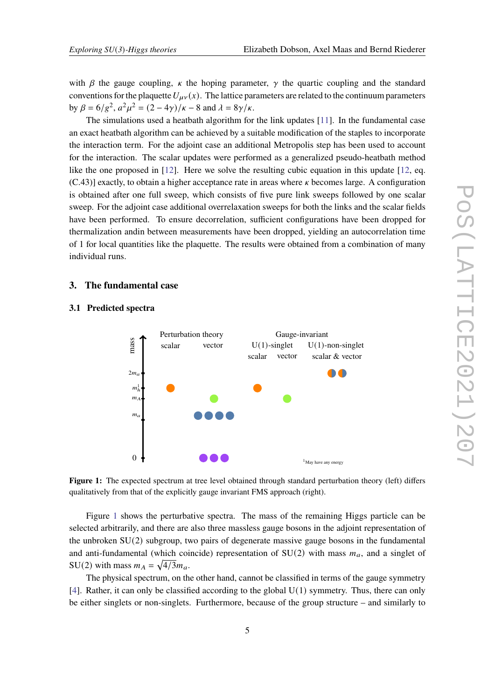with  $\beta$  the gauge coupling,  $\kappa$  the hoping parameter,  $\gamma$  the quartic coupling and the standard conventions for the plaquette  $U_{\mu\nu}(x)$ . The lattice parameters are related to the continuum parameters by  $\beta = 6/g^2$ ,  $a^2\mu^2 = (2 - 4\gamma)/\kappa - 8$  and  $\lambda = 8\gamma/\kappa$ .

The simulations used a heatbath algorithm for the link updates [\[11\]](#page-13-9). In the fundamental case an exact heatbath algorithm can be achieved by a suitable modification of the staples to incorporate the interaction term. For the adjoint case an additional Metropolis step has been used to account for the interaction. The scalar updates were performed as a generalized pseudo-heatbath method like the one proposed in [\[12\]](#page-13-10). Here we solve the resulting cubic equation in this update [\[12,](#page-13-10) eq.  $(C.43)$ ] exactly, to obtain a higher acceptance rate in areas where  $\kappa$  becomes large. A configuration is obtained after one full sweep, which consists of five pure link sweeps followed by one scalar sweep. For the adjoint case additional overrelaxation sweeps for both the links and the scalar fields have been performed. To ensure decorrelation, sufficient configurations have been dropped for thermalization andin between measurements have been dropped, yielding an autocorrelation time of 1 for local quantities like the plaquette. The results were obtained from a combination of many individual runs.

# **3. The fundamental case**



#### <span id="page-4-0"></span>**3.1 Predicted spectra**

**Figure 1:** The expected spectrum at tree level obtained through standard perturbation theory (left) differs qualitatively from that of the explicitly gauge invariant FMS approach (right).

Figure [1](#page-4-0) shows the perturbative spectra. The mass of the remaining Higgs particle can be selected arbitrarily, and there are also three massless gauge bosons in the adjoint representation of the unbroken SU(2) subgroup, two pairs of degenerate massive gauge bosons in the fundamental and anti-fundamental (which coincide) representation of  $SU(2)$  with mass  $m_{\alpha}$ , and a singlet of SU(2) with mass  $m_A = \sqrt{4/3} m_a$ .

The physical spectrum, on the other hand, cannot be classified in terms of the gauge symmetry  $[4]$ . Rather, it can only be classified according to the global  $U(1)$  symmetry. Thus, there can only be either singlets or non-singlets. Furthermore, because of the group structure – and similarly to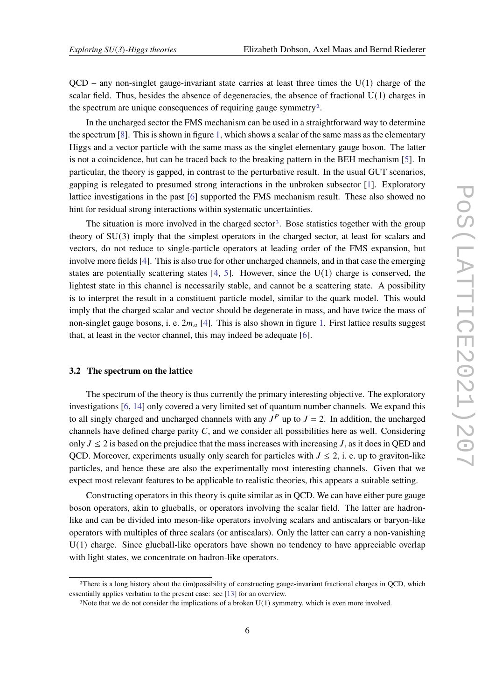$QCD$  – any non-singlet gauge-invariant state carries at least three times the  $U(1)$  charge of the scalar field. Thus, besides the absence of degeneracies, the absence of fractional  $U(1)$  charges in the spectrum are unique consequences of requiring gauge symmetry<sup>[2](#page-5-0)</sup>.

In the uncharged sector the FMS mechanism can be used in a straightforward way to determine the spectrum [\[8\]](#page-13-6). This is shown in figure [1,](#page-4-0) which shows a scalar of the same mass as the elementary Higgs and a vector particle with the same mass as the singlet elementary gauge boson. The latter is not a coincidence, but can be traced back to the breaking pattern in the BEH mechanism [\[5\]](#page-13-3). In particular, the theory is gapped, in contrast to the perturbative result. In the usual GUT scenarios, gapping is relegated to presumed strong interactions in the unbroken subsector [\[1\]](#page-12-0). Exploratory lattice investigations in the past [\[6\]](#page-13-4) supported the FMS mechanism result. These also showed no hint for residual strong interactions within systematic uncertainties.

The situation is more involved in the charged sector<sup>[3](#page-5-1)</sup>. Bose statistics together with the group theory of SU(3) imply that the simplest operators in the charged sector, at least for scalars and vectors, do not reduce to single-particle operators at leading order of the FMS expansion, but involve more fields [\[4\]](#page-13-2). This is also true for other uncharged channels, and in that case the emerging states are potentially scattering states  $[4, 5]$  $[4, 5]$  $[4, 5]$ . However, since the  $U(1)$  charge is conserved, the lightest state in this channel is necessarily stable, and cannot be a scattering state. A possibility is to interpret the result in a constituent particle model, similar to the quark model. This would imply that the charged scalar and vector should be degenerate in mass, and have twice the mass of non-singlet gauge bosons, i. e.  $2m_a$  [\[4\]](#page-13-2). This is also shown in figure [1.](#page-4-0) First lattice results suggest that, at least in the vector channel, this may indeed be adequate [\[6\]](#page-13-4).

#### **3.2 The spectrum on the lattice**

The spectrum of the theory is thus currently the primary interesting objective. The exploratory investigations [\[6,](#page-13-4) [14\]](#page-13-11) only covered a very limited set of quantum number channels. We expand this to all singly charged and uncharged channels with any  $J<sup>P</sup>$  up to  $J = 2$ . In addition, the uncharged channels have defined charge parity  $C$ , and we consider all possibilities here as well. Considering only  $J \le 2$  is based on the prejudice that the mass increases with increasing J, as it does in QED and QCD. Moreover, experiments usually only search for particles with  $J \le 2$ , i. e. up to graviton-like particles, and hence these are also the experimentally most interesting channels. Given that we expect most relevant features to be applicable to realistic theories, this appears a suitable setting.

Constructing operators in this theory is quite similar as in QCD. We can have either pure gauge boson operators, akin to glueballs, or operators involving the scalar field. The latter are hadronlike and can be divided into meson-like operators involving scalars and antiscalars or baryon-like operators with multiples of three scalars (or antiscalars). Only the latter can carry a non-vanishing U(1) charge. Since glueball-like operators have shown no tendency to have appreciable overlap with light states, we concentrate on hadron-like operators.

<span id="page-5-0"></span><sup>2</sup>There is a long history about the (im)possibility of constructing gauge-invariant fractional charges in QCD, which essentially applies verbatim to the present case: see [\[13\]](#page-13-12) for an overview.

<span id="page-5-1"></span><sup>&</sup>lt;sup>3</sup>Note that we do not consider the implications of a broken  $U(1)$  symmetry, which is even more involved.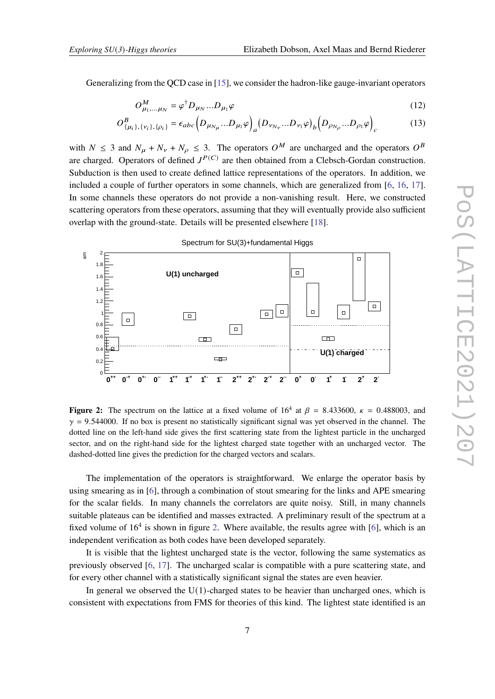Generalizing from the QCD case in [\[15\]](#page-13-13), we consider the hadron-like gauge-invariant operators

$$
O_{\mu_1,\dots,\mu_N}^M = \varphi^\dagger D_{\mu_N} \dots D_{\mu_1} \varphi \tag{12}
$$

$$
O_{\{\mu_i\},\{\nu_i\},\{\rho_i\}}^B = \epsilon_{abc} \Big( D_{\mu_{N_\mu}}...D_{\mu_1} \varphi \Big)_a \big( D_{\nu_{N_\nu}}...D_{\nu_1} \varphi \big)_b \Big( D_{\rho_{N_\rho}}...D_{\rho_1} \varphi \Big)_c \tag{13}
$$

with  $N \leq 3$  and  $N_{\mu} + N_{\nu} + N_{\rho} \leq 3$ . The operators  $O^M$  are uncharged and the operators  $O^B$ are charged. Operators of defined  $J^{P(C)}$  are then obtained from a Clebsch-Gordan construction. Subduction is then used to create defined lattice representations of the operators. In addition, we included a couple of further operators in some channels, which are generalized from [\[6,](#page-13-4) [16,](#page-13-14) [17\]](#page-13-15). In some channels these operators do not provide a non-vanishing result. Here, we constructed scattering operators from these operators, assuming that they will eventually provide also sufficient overlap with the ground-state. Details will be presented elsewhere [\[18\]](#page-13-16).

<span id="page-6-0"></span>

**Figure 2:** The spectrum on the lattice at a fixed volume of  $16^4$  at  $\beta = 8.433600$ ,  $\kappa = 0.488003$ , and  $\gamma$  = 9.544000. If no box is present no statistically significant signal was yet observed in the channel. The dotted line on the left-hand side gives the first scattering state from the lightest particle in the uncharged sector, and on the right-hand side for the lightest charged state together with an uncharged vector. The dashed-dotted line gives the prediction for the charged vectors and scalars.

The implementation of the operators is straightforward. We enlarge the operator basis by using smearing as in [\[6\]](#page-13-4), through a combination of stout smearing for the links and APE smearing for the scalar fields. In many channels the correlators are quite noisy. Still, in many channels suitable plateaus can be identified and masses extracted. A preliminary result of the spectrum at a fixed volume of  $16<sup>4</sup>$  is shown in figure [2.](#page-6-0) Where available, the results agree with [\[6\]](#page-13-4), which is an independent verification as both codes have been developed separately.

It is visible that the lightest uncharged state is the vector, following the same systematics as previously observed [\[6,](#page-13-4) [17\]](#page-13-15). The uncharged scalar is compatible with a pure scattering state, and for every other channel with a statistically significant signal the states are even heavier.

In general we observed the  $U(1)$ -charged states to be heavier than uncharged ones, which is consistent with expectations from FMS for theories of this kind. The lightest state identified is an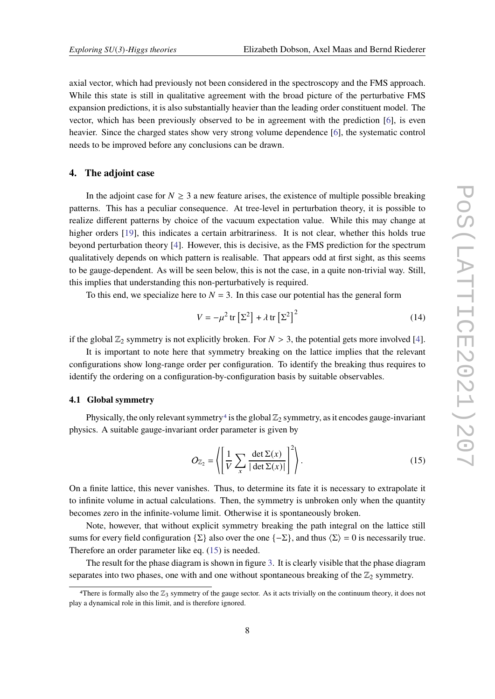axial vector, which had previously not been considered in the spectroscopy and the FMS approach. While this state is still in qualitative agreement with the broad picture of the perturbative FMS expansion predictions, it is also substantially heavier than the leading order constituent model. The vector, which has been previously observed to be in agreement with the prediction [\[6\]](#page-13-4), is even heavier. Since the charged states show very strong volume dependence [\[6\]](#page-13-4), the systematic control needs to be improved before any conclusions can be drawn.

# **4. The adjoint case**

In the adjoint case for  $N \geq 3$  a new feature arises, the existence of multiple possible breaking patterns. This has a peculiar consequence. At tree-level in perturbation theory, it is possible to realize different patterns by choice of the vacuum expectation value. While this may change at higher orders [\[19\]](#page-13-17), this indicates a certain arbitrariness. It is not clear, whether this holds true beyond perturbation theory [\[4\]](#page-13-2). However, this is decisive, as the FMS prediction for the spectrum qualitatively depends on which pattern is realisable. That appears odd at first sight, as this seems to be gauge-dependent. As will be seen below, this is not the case, in a quite non-trivial way. Still, this implies that understanding this non-perturbatively is required.

To this end, we specialize here to  $N = 3$ . In this case our potential has the general form

<span id="page-7-0"></span>
$$
V = -\mu^2 \operatorname{tr} \left[ \Sigma^2 \right] + \lambda \operatorname{tr} \left[ \Sigma^2 \right]^2 \tag{14}
$$

if the global  $\mathbb{Z}_2$  symmetry is not explicitly broken. For  $N > 3$ , the potential gets more involved [\[4\]](#page-13-2).

It is important to note here that symmetry breaking on the lattice implies that the relevant configurations show long-range order per configuration. To identify the breaking thus requires to identify the ordering on a configuration-by-configuration basis by suitable observables.

# **4.1 Global symmetry**

Physically, the only relevant symmetry<sup>[4](#page-7-1)</sup> is the global  $\mathbb{Z}_2$  symmetry, as it encodes gauge-invariant physics. A suitable gauge-invariant order parameter is given by

<span id="page-7-2"></span>
$$
O_{\mathbb{Z}_2} = \left\langle \left[ \frac{1}{V} \sum_{x} \frac{\det \Sigma(x)}{|\det \Sigma(x)|} \right]^2 \right\rangle. \tag{15}
$$

On a finite lattice, this never vanishes. Thus, to determine its fate it is necessary to extrapolate it to infinite volume in actual calculations. Then, the symmetry is unbroken only when the quantity becomes zero in the infinite-volume limit. Otherwise it is spontaneously broken.

Note, however, that without explicit symmetry breaking the path integral on the lattice still sums for every field configuration {Σ} also over the one { $-\Sigma$ }, and thus  $\langle \Sigma \rangle = 0$  is necessarily true. Therefore an order parameter like eq. [\(15\)](#page-7-2) is needed.

The result for the phase diagram is shown in figure [3.](#page-8-0) It is clearly visible that the phase diagram separates into two phases, one with and one without spontaneous breaking of the  $\mathbb{Z}_2$  symmetry.

<span id="page-7-1"></span><sup>&</sup>lt;sup>4</sup>There is formally also the  $\mathbb{Z}_3$  symmetry of the gauge sector. As it acts trivially on the continuum theory, it does not play a dynamical role in this limit, and is therefore ignored.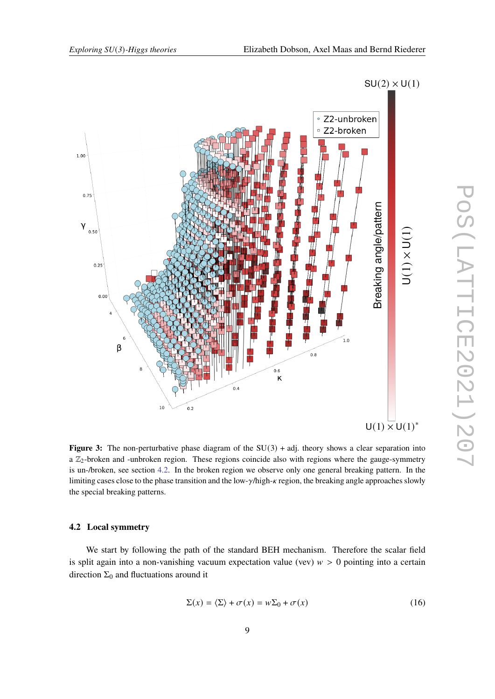

<span id="page-8-0"></span>

**Figure 3:** The non-perturbative phase diagram of the  $SU(3)$  + adj. theory shows a clear separation into a  $\mathbb{Z}_2$ -broken and -unbroken region. These regions coincide also with regions where the gauge-symmetry is un-/broken, see section [4.2.](#page-8-1) In the broken region we observe only one general breaking pattern. In the limiting cases close to the phase transition and the low- $\gamma$ /high- $\kappa$  region, the breaking angle approaches slowly the special breaking patterns.

#### <span id="page-8-1"></span>**4.2 Local symmetry**

We start by following the path of the standard BEH mechanism. Therefore the scalar field is split again into a non-vanishing vacuum expectation value (vev)  $w > 0$  pointing into a certain direction  $\Sigma_0$  and fluctuations around it

<span id="page-8-2"></span>
$$
\Sigma(x) = \langle \Sigma \rangle + \sigma(x) = w \Sigma_0 + \sigma(x) \tag{16}
$$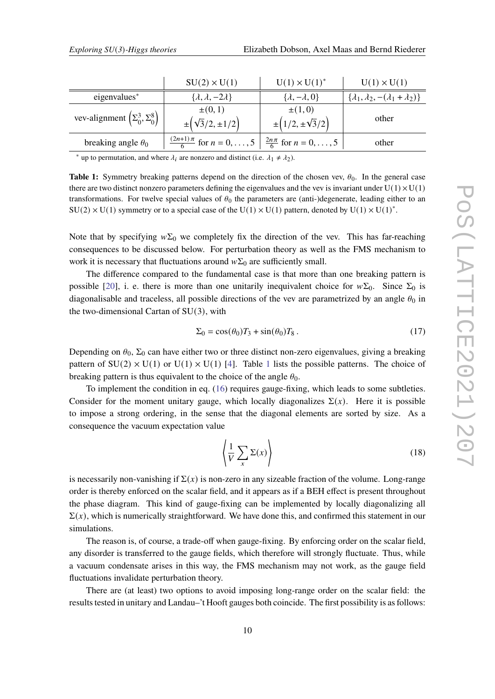<span id="page-9-0"></span>

|                                          | $SU(2) \times U(1)$                                                                           | $U(1) \times U(1)^*$                     | $U(1) \times U(1)$                                    |
|------------------------------------------|-----------------------------------------------------------------------------------------------|------------------------------------------|-------------------------------------------------------|
| eigenvalues*                             | $\{\lambda,\lambda,-2\lambda\}$                                                               | $\{\lambda, -\lambda, 0\}$               | $\{\lambda_1, \lambda_2, -(\lambda_1 + \lambda_2)\}\$ |
| vev-alignment $(\Sigma_0^3, \Sigma_0^8)$ | $\pm(0,1)$<br>$\pm(\sqrt{3}/2,\pm 1/2)$                                                       | $\pm(1,0)$<br>$\pm(1/2, \pm \sqrt{3}/2)$ | other                                                 |
| breaking angle $\theta_0$                | $\frac{(2n+1)\pi}{6}$ for $n = 0, \ldots, 5 \mid \frac{2n\pi}{6}$ for $n = 0, \ldots, 5 \mid$ |                                          | other                                                 |

\* up to permutation, and where  $\lambda_i$  are nonzero and distinct (i.e.  $\lambda_1 \neq \lambda_2$ ).

**Table 1:** Symmetry breaking patterns depend on the direction of the chosen vev,  $\theta_0$ . In the general case there are two distinct nonzero parameters defining the eigenvalues and the vev is invariant under  $U(1) \times U(1)$ transformations. For twelve special values of  $\theta_0$  the parameters are (anti-)degenerate, leading either to an  $SU(2) \times U(1)$  symmetry or to a special case of the  $U(1) \times U(1)$  pattern, denoted by  $U(1) \times U(1)^*$ .

Note that by specifying  $w\Sigma_0$  we completely fix the direction of the vev. This has far-reaching consequences to be discussed below. For perturbation theory as well as the FMS mechanism to work it is necessary that fluctuations around  $w\Sigma_0$  are sufficiently small.

The difference compared to the fundamental case is that more than one breaking pattern is possible [\[20\]](#page-14-0), i. e. there is more than one unitarily inequivalent choice for  $w\Sigma_0$ . Since  $\Sigma_0$  is diagonalisable and traceless, all possible directions of the vev are parametrized by an angle  $\theta_0$  in the two-dimensional Cartan of  $SU(3)$ , with

<span id="page-9-1"></span>
$$
\Sigma_0 = \cos(\theta_0) T_3 + \sin(\theta_0) T_8. \tag{17}
$$

Depending on  $\theta_0$ ,  $\Sigma_0$  can have either two or three distinct non-zero eigenvalues, giving a breaking pattern of  $SU(2) \times U(1)$  $SU(2) \times U(1)$  $SU(2) \times U(1)$  or  $U(1) \times U(1)$  [\[4\]](#page-13-2). Table 1 lists the possible patterns. The choice of breaking pattern is thus equivalent to the choice of the angle  $\theta_0$ .

To implement the condition in eq. [\(16\)](#page-8-2) requires gauge-fixing, which leads to some subtleties. Consider for the moment unitary gauge, which locally diagonalizes  $\Sigma(x)$ . Here it is possible to impose a strong ordering, in the sense that the diagonal elements are sorted by size. As a consequence the vacuum expectation value

<span id="page-9-2"></span>
$$
\left\langle \frac{1}{V} \sum_{x} \Sigma(x) \right\rangle \tag{18}
$$

is necessarily non-vanishing if  $\Sigma(x)$  is non-zero in any sizeable fraction of the volume. Long-range order is thereby enforced on the scalar field, and it appears as if a BEH effect is present throughout the phase diagram. This kind of gauge-fixing can be implemented by locally diagonalizing all  $\Sigma(x)$ , which is numerically straightforward. We have done this, and confirmed this statement in our simulations.

The reason is, of course, a trade-off when gauge-fixing. By enforcing order on the scalar field, any disorder is transferred to the gauge fields, which therefore will strongly fluctuate. Thus, while a vacuum condensate arises in this way, the FMS mechanism may not work, as the gauge field fluctuations invalidate perturbation theory.

There are (at least) two options to avoid imposing long-range order on the scalar field: the results tested in unitary and Landau–'t Hooft gauges both coincide. The first possibility is as follows: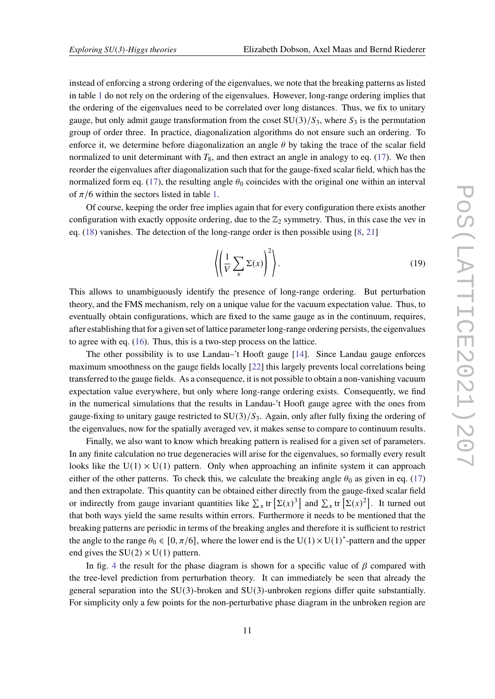instead of enforcing a strong ordering of the eigenvalues, we note that the breaking patterns as listed in table [1](#page-9-0) do not rely on the ordering of the eigenvalues. However, long-range ordering implies that the ordering of the eigenvalues need to be correlated over long distances. Thus, we fix to unitary gauge, but only admit gauge transformation from the coset  $SU(3)/S_3$ , where  $S_3$  is the permutation group of order three. In practice, diagonalization algorithms do not ensure such an ordering. To enforce it, we determine before diagonalization an angle  $\theta$  by taking the trace of the scalar field normalized to unit determinant with  $T_8$ , and then extract an angle in analogy to eq. [\(17\)](#page-9-1). We then reorder the eigenvalues after diagonalization such that for the gauge-fixed scalar field, which has the normalized form eq. [\(17\)](#page-9-1), the resulting angle  $\theta_0$  coincides with the original one within an interval of  $\pi/6$  within the sectors listed in table [1.](#page-9-0)

Of course, keeping the order free implies again that for every configuration there exists another configuration with exactly opposite ordering, due to the  $\mathbb{Z}_2$  symmetry. Thus, in this case the vev in eq.  $(18)$  vanishes. The detection of the long-range order is then possible using  $[8, 21]$  $[8, 21]$  $[8, 21]$ 

<span id="page-10-0"></span>
$$
\left\langle \left( \frac{1}{V} \sum_{x} \Sigma(x) \right)^2 \right\rangle. \tag{19}
$$

This allows to unambiguously identify the presence of long-range ordering. But perturbation theory, and the FMS mechanism, rely on a unique value for the vacuum expectation value. Thus, to eventually obtain configurations, which are fixed to the same gauge as in the continuum, requires, after establishing that for a given set of lattice parameter long-range ordering persists, the eigenvalues to agree with eq. [\(16\)](#page-8-2). Thus, this is a two-step process on the lattice.

The other possibility is to use Landau–'t Hooft gauge [\[14\]](#page-13-11). Since Landau gauge enforces maximum smoothness on the gauge fields locally [\[22\]](#page-14-2) this largely prevents local correlations being transferred to the gauge fields. As a consequence, it is not possible to obtain a non-vanishing vacuum expectation value everywhere, but only where long-range ordering exists. Consequently, we find in the numerical simulations that the results in Landau-'t Hooft gauge agree with the ones from gauge-fixing to unitary gauge restricted to  $SU(3)/S_3$ . Again, only after fully fixing the ordering of the eigenvalues, now for the spatially averaged vev, it makes sense to compare to continuum results.

Finally, we also want to know which breaking pattern is realised for a given set of parameters. In any finite calculation no true degeneracies will arise for the eigenvalues, so formally every result looks like the  $U(1) \times U(1)$  pattern. Only when approaching an infinite system it can approach either of the other patterns. To check this, we calculate the breaking angle  $\theta_0$  as given in eq. [\(17\)](#page-9-1) and then extrapolate. This quantity can be obtained either directly from the gauge-fixed scalar field or indirectly from gauge invariant quantities like  $\sum_x$  tr  $[\Sigma(x)^3]$  and  $\sum_x$  tr  $[\Sigma(x)^2]$ . It turned out that both ways yield the same results within errors. Furthermore it needs to be mentioned that the breaking patterns are periodic in terms of the breaking angles and therefore it is sufficient to restrict the angle to the range  $\theta_0 \in [0, \pi/6]$ , where the lower end is the U(1)  $\times$  U(1)<sup>\*</sup>-pattern and the upper end gives the  $SU(2) \times U(1)$  pattern.

In fig. [4](#page-11-0) the result for the phase diagram is shown for a specific value of  $\beta$  compared with the tree-level prediction from perturbation theory. It can immediately be seen that already the general separation into the  $SU(3)$ -broken and  $SU(3)$ -unbroken regions differ quite substantially. For simplicity only a few points for the non-perturbative phase diagram in the unbroken region are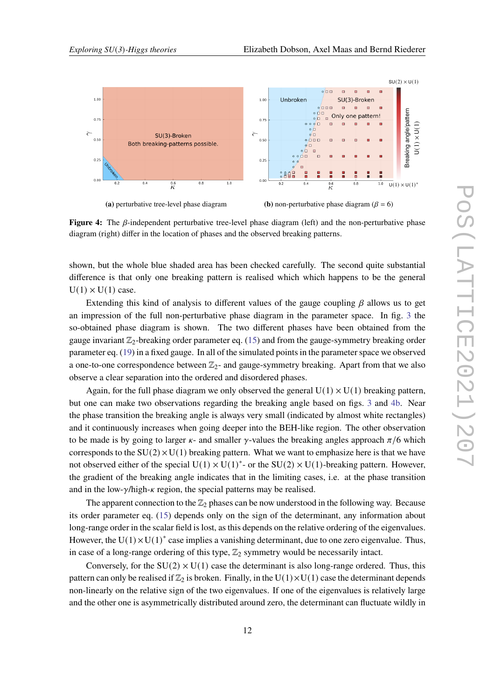<span id="page-11-0"></span>

**Figure 4:** The  $\beta$ -independent perturbative tree-level phase diagram (left) and the non-perturbative phase diagram (right) differ in the location of phases and the observed breaking patterns.

shown, but the whole blue shaded area has been checked carefully. The second quite substantial difference is that only one breaking pattern is realised which which happens to be the general  $U(1) \times U(1)$  case.

Extending this kind of analysis to different values of the gauge coupling  $\beta$  allows us to get an impression of the full non-perturbative phase diagram in the parameter space. In fig. [3](#page-8-0) the so-obtained phase diagram is shown. The two different phases have been obtained from the gauge invariant  $\mathbb{Z}_2$ -breaking order parameter eq. [\(15\)](#page-7-2) and from the gauge-symmetry breaking order parameter eq. [\(19\)](#page-10-0) in a fixed gauge. In all of the simulated points in the parameter space we observed a one-to-one correspondence between  $\mathbb{Z}_2$ - and gauge-symmetry breaking. Apart from that we also observe a clear separation into the ordered and disordered phases.

Again, for the full phase diagram we only observed the general  $U(1) \times U(1)$  breaking pattern. but one can make two observations regarding the breaking angle based on figs. [3](#page-8-0) and [4b.](#page-11-0) Near the phase transition the breaking angle is always very small (indicated by almost white rectangles) and it continuously increases when going deeper into the BEH-like region. The other observation to be made is by going to larger  $\kappa$ - and smaller  $\gamma$ -values the breaking angles approach  $\pi/6$  which corresponds to the  $SU(2) \times U(1)$  breaking pattern. What we want to emphasize here is that we have not observed either of the special  $U(1) \times U(1)^*$ - or the SU(2)  $\times U(1)$ -breaking pattern. However, the gradient of the breaking angle indicates that in the limiting cases, i.e. at the phase transition and in the low- $\gamma$ /high- $\kappa$  region, the special patterns may be realised.

The apparent connection to the  $\mathbb{Z}_2$  phases can be now understood in the following way. Because its order parameter eq. [\(15\)](#page-7-2) depends only on the sign of the determinant, any information about long-range order in the scalar field is lost, as this depends on the relative ordering of the eigenvalues. However, the  $U(1) \times U(1)^*$  case implies a vanishing determinant, due to one zero eigenvalue. Thus, in case of a long-range ordering of this type,  $\mathbb{Z}_2$  symmetry would be necessarily intact.

Conversely, for the  $SU(2) \times U(1)$  case the determinant is also long-range ordered. Thus, this pattern can only be realised if  $\mathbb{Z}_2$  is broken. Finally, in the U(1)×U(1) case the determinant depends non-linearly on the relative sign of the two eigenvalues. If one of the eigenvalues is relatively large and the other one is asymmetrically distributed around zero, the determinant can fluctuate wildly in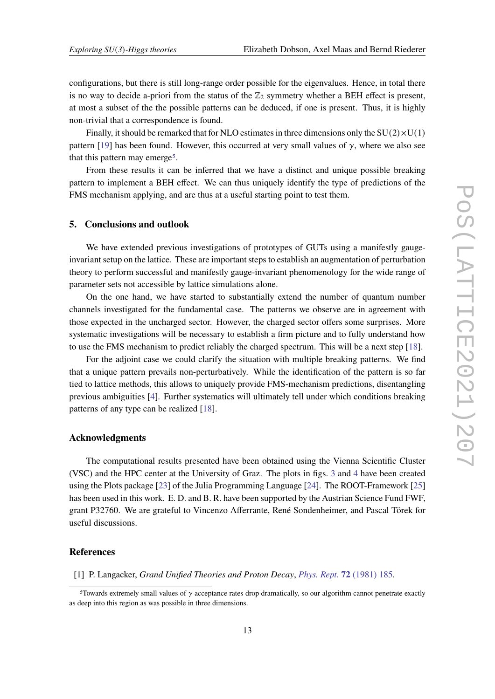configurations, but there is still long-range order possible for the eigenvalues. Hence, in total there is no way to decide a-priori from the status of the  $\mathbb{Z}_2$  symmetry whether a BEH effect is present, at most a subset of the the possible patterns can be deduced, if one is present. Thus, it is highly non-trivial that a correspondence is found.

Finally, it should be remarked that for NLO estimates in three dimensions only the  $SU(2) \times U(1)$ pattern [\[19\]](#page-13-17) has been found. However, this occurred at very small values of  $\gamma$ , where we also see that this pattern may emerge<sup>[5](#page-12-1)</sup>.

From these results it can be inferred that we have a distinct and unique possible breaking pattern to implement a BEH effect. We can thus uniquely identify the type of predictions of the FMS mechanism applying, and are thus at a useful starting point to test them.

### **5. Conclusions and outlook**

We have extended previous investigations of prototypes of GUTs using a manifestly gaugeinvariant setup on the lattice. These are important steps to establish an augmentation of perturbation theory to perform successful and manifestly gauge-invariant phenomenology for the wide range of parameter sets not accessible by lattice simulations alone.

On the one hand, we have started to substantially extend the number of quantum number channels investigated for the fundamental case. The patterns we observe are in agreement with those expected in the uncharged sector. However, the charged sector offers some surprises. More systematic investigations will be necessary to establish a firm picture and to fully understand how to use the FMS mechanism to predict reliably the charged spectrum. This will be a next step [\[18\]](#page-13-16).

For the adjoint case we could clarify the situation with multiple breaking patterns. We find that a unique pattern prevails non-perturbatively. While the identification of the pattern is so far tied to lattice methods, this allows to uniquely provide FMS-mechanism predictions, disentangling previous ambiguities [\[4\]](#page-13-2). Further systematics will ultimately tell under which conditions breaking patterns of any type can be realized [\[18\]](#page-13-16).

#### **Acknowledgments**

The computational results presented have been obtained using the Vienna Scientific Cluster (VSC) and the HPC center at the University of Graz. The plots in figs. [3](#page-8-0) and [4](#page-11-0) have been created using the Plots package [\[23\]](#page-14-3) of the Julia Programming Language [\[24\]](#page-14-4). The ROOT-Framework [\[25\]](#page-14-5) has been used in this work. E. D. and B. R. have been supported by the Austrian Science Fund FWF, grant P32760. We are grateful to Vincenzo Afferrante, René Sondenheimer, and Pascal Törek for useful discussions.

#### **References**

<span id="page-12-0"></span>[1] P. Langacker, *Grand Unified Theories and Proton Decay*, *[Phys. Rept.](https://doi.org/10.1016/0370-1573(81)90059-4)* **72** (1981) 185.

<span id="page-12-1"></span><sup>&</sup>lt;sup>5</sup>Towards extremely small values of  $\gamma$  acceptance rates drop dramatically, so our algorithm cannot penetrate exactly as deep into this region as was possible in three dimensions.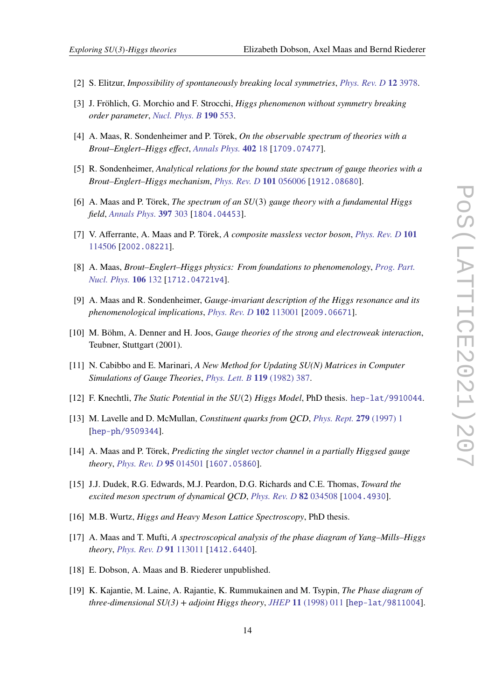- <span id="page-13-0"></span>[2] S. Elitzur, *Impossibility of spontaneously breaking local symmetries*, *[Phys. Rev. D](https://doi.org/10/ffx7gb)* **12** 3978.
- <span id="page-13-1"></span>[3] J. Fröhlich, G. Morchio and F. Strocchi, *Higgs phenomenon without symmetry breaking order parameter*, *[Nucl. Phys. B](https://doi.org/10/dhjchg)* **190** 553.
- <span id="page-13-2"></span>[4] A. Maas, R. Sondenheimer and P. Törek, *On the observable spectrum of theories with a Brout–Englert–Higgs effect*, *[Annals Phys.](https://doi.org/10/ggqzq4)* **402** 18 [[1709.07477](https://arxiv.org/abs/1709.07477)].
- <span id="page-13-3"></span>[5] R. Sondenheimer, *Analytical relations for the bound state spectrum of gauge theories with a Brout–Englert–Higgs mechanism*, *[Phys. Rev. D](https://doi.org/10/gh39xh)* **101** 056006 [[1912.08680](https://arxiv.org/abs/1912.08680)].
- <span id="page-13-4"></span>[6] A. Maas and P. Törek, *The spectrum of an SU*(3) *gauge theory with a fundamental Higgs field*, *[Annals Phys.](https://doi.org/10/gfjp8m)* **397** 303 [[1804.04453](https://arxiv.org/abs/1804.04453)].
- <span id="page-13-5"></span>[7] V. Afferrante, A. Maas and P. Törek, *A composite massless vector boson*, *[Phys. Rev. D](https://doi.org/10/ghdnzv)* **101** [114506](https://doi.org/10/ghdnzv) [[2002.08221](https://arxiv.org/abs/2002.08221)].
- <span id="page-13-6"></span>[8] A. Maas, *Brout–Englert–Higgs physics: From foundations to phenomenology*, *[Prog. Part.](https://doi.org/10/ggqzq5) [Nucl. Phys.](https://doi.org/10/ggqzq5)* **106** 132 [[1712.04721v4](https://arxiv.org/abs/1712.04721v4)].
- <span id="page-13-7"></span>[9] A. Maas and R. Sondenheimer, *Gauge-invariant description of the Higgs resonance and its phenomenological implications*, *[Phys. Rev. D](https://doi.org/10/ght96h)* **102** 113001 [[2009.06671](https://arxiv.org/abs/2009.06671)].
- <span id="page-13-8"></span>[10] M. Böhm, A. Denner and H. Joos, *Gauge theories of the strong and electroweak interaction*, Teubner, Stuttgart (2001).
- <span id="page-13-9"></span>[11] N. Cabibbo and E. Marinari, *A New Method for Updating SU(N) Matrices in Computer Simulations of Gauge Theories*, *[Phys. Lett. B](https://doi.org/10.1016/0370-2693(82)90696-7)* **119** (1982) 387.
- <span id="page-13-10"></span>[12] F. Knechtli, *The Static Potential in the SU*(2) *Higgs Model*, PhD thesis. [hep-lat/9910044](https://arxiv.org/abs/hep-lat/9910044).
- <span id="page-13-12"></span>[13] M. Lavelle and D. McMullan, *Constituent quarks from QCD*, *[Phys. Rept.](https://doi.org/10.1016/S0370-1573(96)00019-1)* **279** (1997) 1 [[hep-ph/9509344](https://arxiv.org/abs/hep-ph/9509344)].
- <span id="page-13-11"></span>[14] A. Maas and P. Törek, *Predicting the singlet vector channel in a partially Higgsed gauge theory*, *[Phys. Rev. D](https://doi.org/10/gg4fjt)* **95** 014501 [[1607.05860](https://arxiv.org/abs/1607.05860)].
- <span id="page-13-13"></span>[15] J.J. Dudek, R.G. Edwards, M.J. Peardon, D.G. Richards and C.E. Thomas, *Toward the excited meson spectrum of dynamical QCD*, *[Phys. Rev. D](https://doi.org/10/bq6z4c)* **82** 034508 [[1004.4930](https://arxiv.org/abs/1004.4930)].
- <span id="page-13-14"></span>[16] M.B. Wurtz, *Higgs and Heavy Meson Lattice Spectroscopy*, PhD thesis.
- <span id="page-13-15"></span>[17] A. Maas and T. Mufti, *A spectroscopical analysis of the phase diagram of Yang–Mills–Higgs theory*, *[Phys. Rev. D](https://doi.org/10/ggt8f9)* **91** 113011 [[1412.6440](https://arxiv.org/abs/1412.6440)].
- <span id="page-13-16"></span>[18] E. Dobson, A. Maas and B. Riederer unpublished.
- <span id="page-13-17"></span>[19] K. Kajantie, M. Laine, A. Rajantie, K. Rummukainen and M. Tsypin, *The Phase diagram of three-dimensional*  $SU(3)$  *+ adjoint Higgs theory, <i>JHEP* 11 [\(1998\) 011](https://doi.org/10.1088/1126-6708/1998/11/011) [[hep-lat/9811004](https://arxiv.org/abs/hep-lat/9811004)].